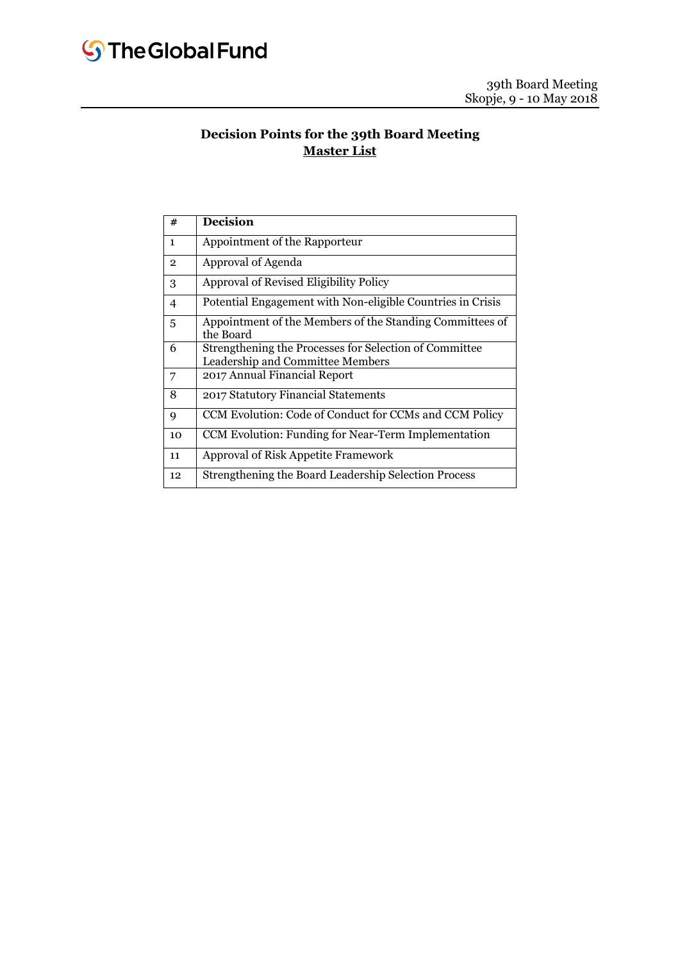# **Decision Points for the 39th Board Meeting Master List**

| #              | <b>Decision</b>                                                                            |
|----------------|--------------------------------------------------------------------------------------------|
| $\mathbf{1}$   | Appointment of the Rapporteur                                                              |
| $\overline{2}$ | Approval of Agenda                                                                         |
| 3              | Approval of Revised Eligibility Policy                                                     |
| 4              | Potential Engagement with Non-eligible Countries in Crisis                                 |
| 5              | Appointment of the Members of the Standing Committees of<br>the Board                      |
| 6              | Strengthening the Processes for Selection of Committee<br>Leadership and Committee Members |
| 7              | 2017 Annual Financial Report                                                               |
| 8              | 2017 Statutory Financial Statements                                                        |
| 9              | CCM Evolution: Code of Conduct for CCMs and CCM Policy                                     |
| 10             | CCM Evolution: Funding for Near-Term Implementation                                        |
| 11             | <b>Approval of Risk Appetite Framework</b>                                                 |
| 12             | Strengthening the Board Leadership Selection Process                                       |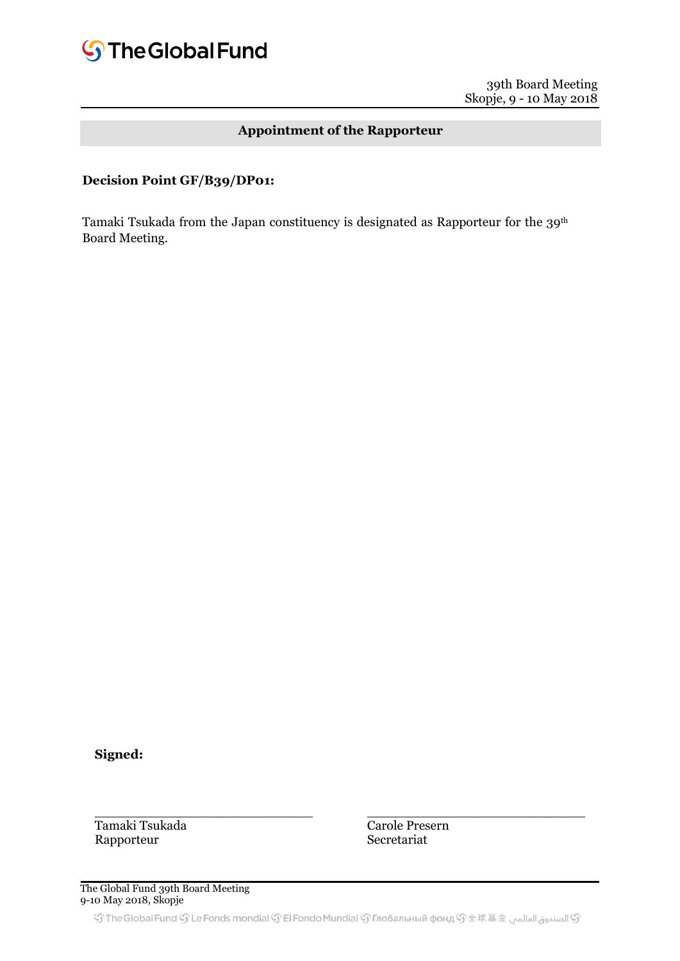# **Appointment of the Rapporteur**

### **Decision Point GF/B39/DP01:**

Tamaki Tsukada from the Japan constituency is designated as Rapporteur for the 39<sup>th</sup> Board Meeting.

**Signed:**

Tamaki Tsukada Rapporteur

Carole Presern Secretariat

 $\frac{1}{2}$  ,  $\frac{1}{2}$  ,  $\frac{1}{2}$  ,  $\frac{1}{2}$  ,  $\frac{1}{2}$  ,  $\frac{1}{2}$  ,  $\frac{1}{2}$  ,  $\frac{1}{2}$  ,  $\frac{1}{2}$  ,  $\frac{1}{2}$  ,  $\frac{1}{2}$  ,  $\frac{1}{2}$  ,  $\frac{1}{2}$  ,  $\frac{1}{2}$  ,  $\frac{1}{2}$  ,  $\frac{1}{2}$  ,  $\frac{1}{2}$  ,  $\frac{1}{2}$  ,  $\frac{1$ 

The Global Fund 39th Board Meeting 9-10 May 2018, Skopje

\_\_\_\_\_\_\_\_\_\_\_\_\_\_\_\_\_\_\_\_\_\_\_\_\_\_\_

© الصندوق العالمين The Global Fund  $\mathbb S$  Le Fonds mondial  $\mathbb S$  El Fondo Mundial  $\mathbb S$  Глобальный фонд  $\mathbb S$   $\pm$  球基金 الصندوق العالمين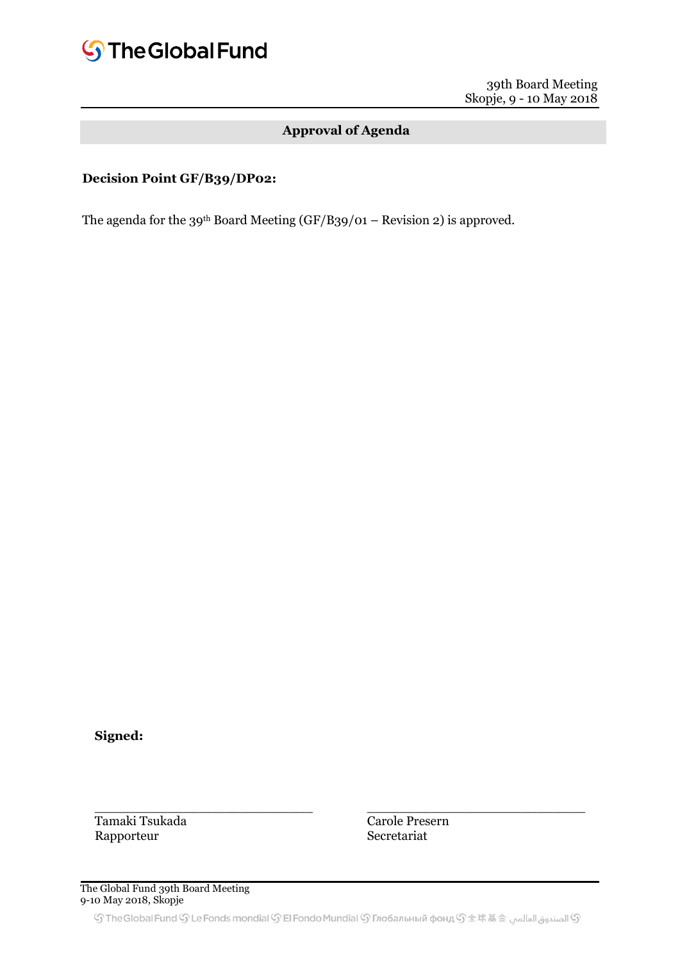# **S**The Global Fund

39th Board Meeting Skopje, 9 - 10 May 2018

# **Approval of Agenda**

# **Decision Point GF/B39/DP02:**

The agenda for the 39<sup>th</sup> Board Meeting (GF/B39/01 – Revision 2) is approved.

**Signed:**

Tamaki Tsukada Rapporteur

Carole Presern Secretariat

\_\_\_\_\_\_\_\_\_\_\_\_\_\_\_\_\_\_\_\_\_\_\_\_\_\_\_

The Global Fund 39th Board Meeting 9-10 May 2018, Skopje

\_\_\_\_\_\_\_\_\_\_\_\_\_\_\_\_\_\_\_\_\_\_\_\_\_\_\_

© الصندوق العالمين The Global Fund  $\mathbb S$  Le Fonds mondial  $\mathbb S$  El Fondo Mundial  $\mathbb S$  Глобальный фонд  $\mathbb S$   $\pm$  球基金 الصندوق العالمين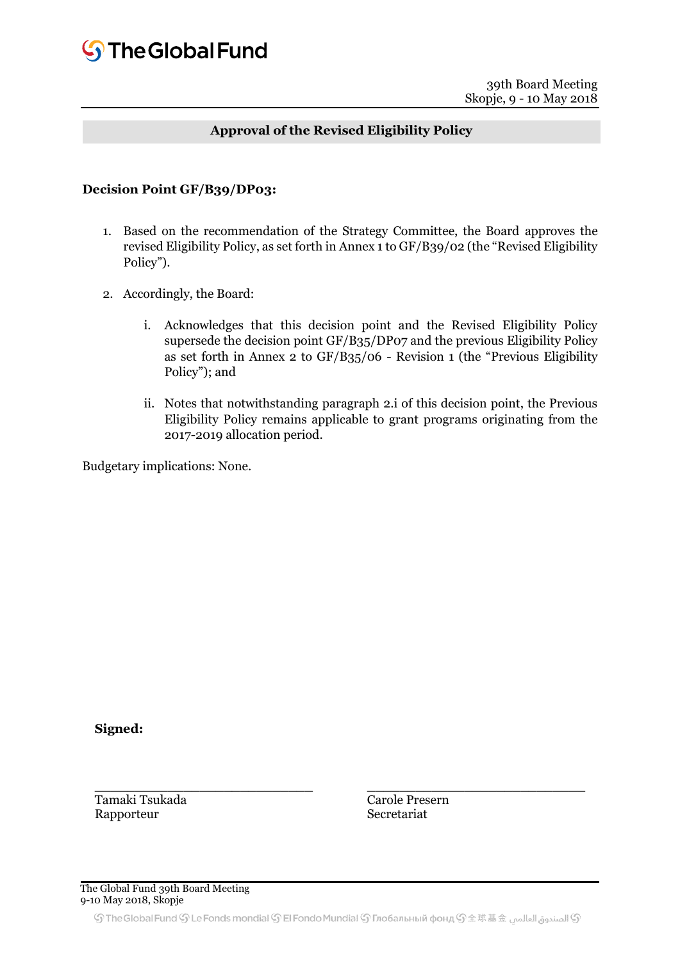# **Approval of the Revised Eligibility Policy**

#### **Decision Point GF/B39/DP03:**

- 1. Based on the recommendation of the Strategy Committee, the Board approves the revised Eligibility Policy, as set forth in Annex 1 to GF/B39/02 (the "Revised Eligibility Policy").
- 2. Accordingly, the Board:
	- i. Acknowledges that this decision point and the Revised Eligibility Policy supersede the decision point GF/B35/DP07 and the previous Eligibility Policy as set forth in Annex 2 to GF/B35/06 - Revision 1 (the "Previous Eligibility Policy"); and
	- ii. Notes that notwithstanding paragraph 2.i of this decision point, the Previous Eligibility Policy remains applicable to grant programs originating from the 2017-2019 allocation period.

Budgetary implications: None.

**Signed:**

Tamaki Tsukada Rapporteur

Carole Presern Secretariat

 $\frac{1}{2}$  ,  $\frac{1}{2}$  ,  $\frac{1}{2}$  ,  $\frac{1}{2}$  ,  $\frac{1}{2}$  ,  $\frac{1}{2}$  ,  $\frac{1}{2}$  ,  $\frac{1}{2}$  ,  $\frac{1}{2}$  ,  $\frac{1}{2}$  ,  $\frac{1}{2}$  ,  $\frac{1}{2}$  ,  $\frac{1}{2}$  ,  $\frac{1}{2}$  ,  $\frac{1}{2}$  ,  $\frac{1}{2}$  ,  $\frac{1}{2}$  ,  $\frac{1}{2}$  ,  $\frac{1$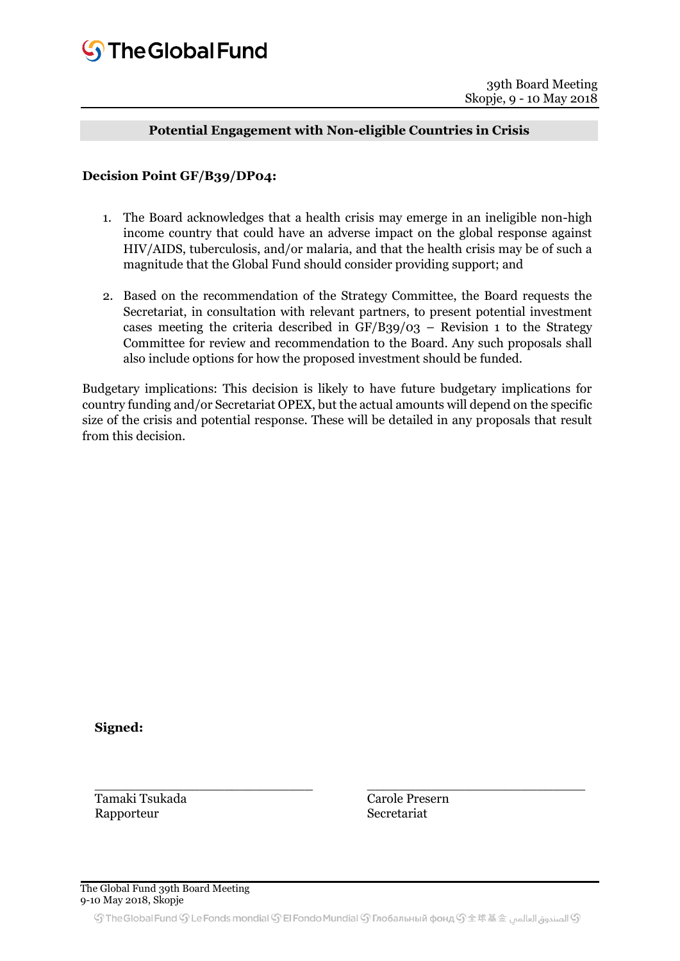# **Potential Engagement with Non-eligible Countries in Crisis**

#### **Decision Point GF/B39/DP04:**

- 1. The Board acknowledges that a health crisis may emerge in an ineligible non-high income country that could have an adverse impact on the global response against HIV/AIDS, tuberculosis, and/or malaria, and that the health crisis may be of such a magnitude that the Global Fund should consider providing support; and
- 2. Based on the recommendation of the Strategy Committee, the Board requests the Secretariat, in consultation with relevant partners, to present potential investment cases meeting the criteria described in  $GF/B39/03$  – Revision 1 to the Strategy Committee for review and recommendation to the Board. Any such proposals shall also include options for how the proposed investment should be funded.

Budgetary implications: This decision is likely to have future budgetary implications for country funding and/or Secretariat OPEX, but the actual amounts will depend on the specific size of the crisis and potential response. These will be detailed in any proposals that result from this decision.

**Signed:**

Tamaki Tsukada Rapporteur

Carole Presern Secretariat

\_\_\_\_\_\_\_\_\_\_\_\_\_\_\_\_\_\_\_\_\_\_\_\_\_\_\_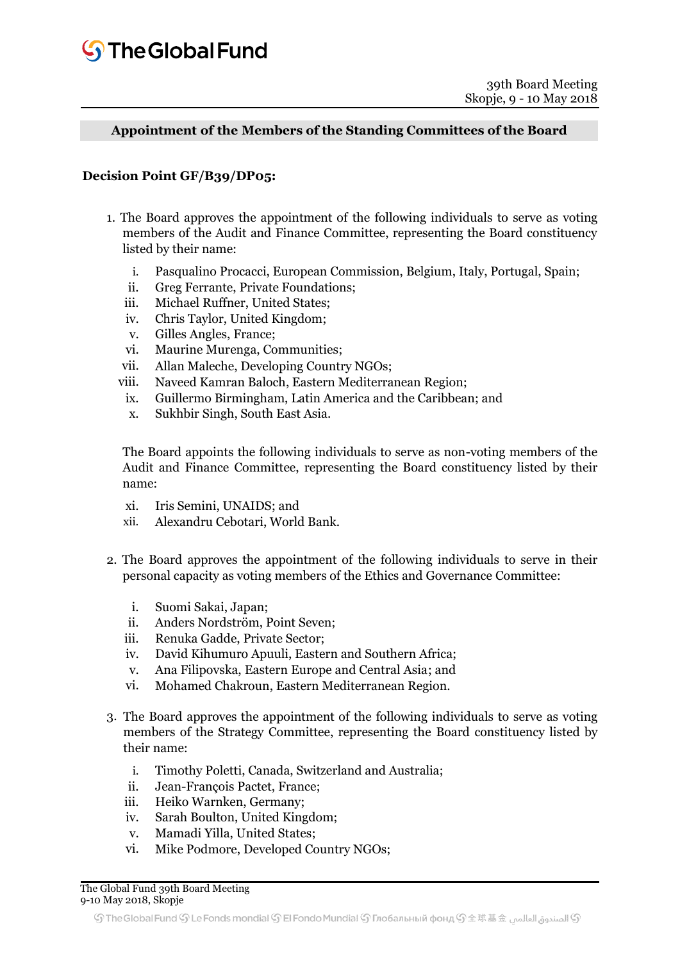**Appointment of the Members of the Standing Committees of the Board**

#### **Decision Point GF/B39/DP05:**

- 1. The Board approves the appointment of the following individuals to serve as voting members of the Audit and Finance Committee, representing the Board constituency listed by their name:
	- i. Pasqualino Procacci, European Commission, Belgium, Italy, Portugal, Spain;
	- ii. Greg Ferrante, Private Foundations;
	- iii. Michael Ruffner, United States;
	- iv. Chris Taylor, United Kingdom;
	- v. Gilles Angles, France;
	- vi. Maurine Murenga, Communities;
	- vii. Allan Maleche, Developing Country NGOs;
	- viii. Naveed Kamran Baloch, Eastern Mediterranean Region;
		- ix. Guillermo Birmingham, Latin America and the Caribbean; and
		- x. Sukhbir Singh, South East Asia.

The Board appoints the following individuals to serve as non-voting members of the Audit and Finance Committee, representing the Board constituency listed by their name:

- xi. Iris Semini, UNAIDS; and
- xii. Alexandru Cebotari, World Bank.
- 2. The Board approves the appointment of the following individuals to serve in their personal capacity as voting members of the Ethics and Governance Committee:
	- i. Suomi Sakai, Japan;
	- ii. Anders Nordström, Point Seven;
	- iii. Renuka Gadde, Private Sector;
	- iv. David Kihumuro Apuuli, Eastern and Southern Africa;
	- v. Ana Filipovska, Eastern Europe and Central Asia; and
	- vi. Mohamed Chakroun, Eastern Mediterranean Region.
- 3. The Board approves the appointment of the following individuals to serve as voting members of the Strategy Committee, representing the Board constituency listed by their name:
	- i. Timothy Poletti, Canada, Switzerland and Australia;
	- ii. Jean-François Pactet, France;
	- iii. Heiko Warnken, Germany;
	- iv. Sarah Boulton, United Kingdom;
	- v. Mamadi Yilla, United States;
	- vi. Mike Podmore, Developed Country NGOs;

The Global Fund 39th Board Meeting 9-10 May 2018, Skopje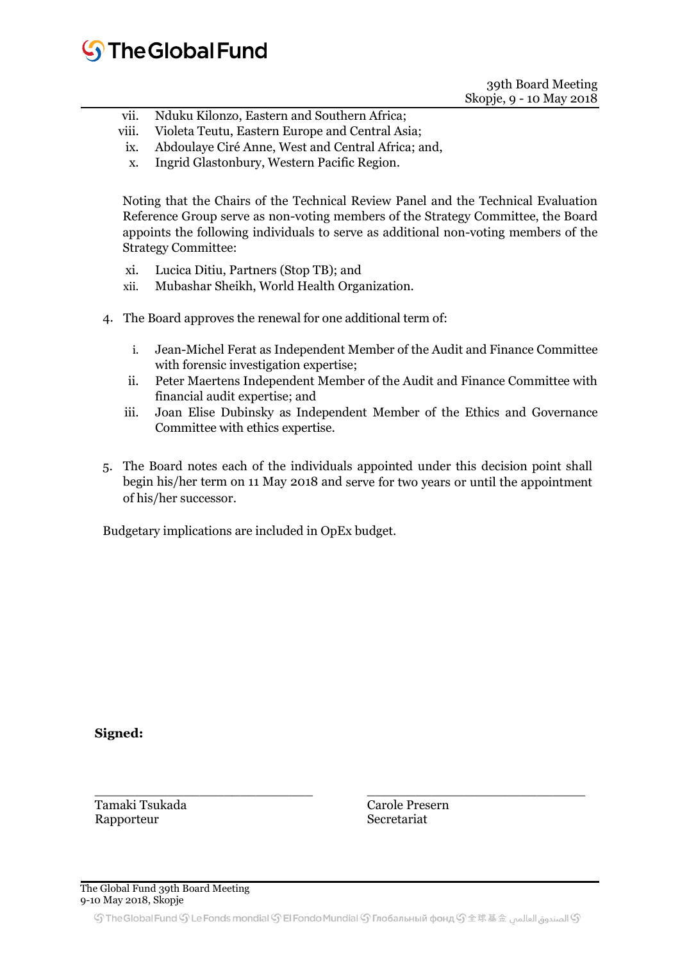# **S**The Global Fund

39th Board Meeting Skopje, 9 - 10 May 2018

- vii. Nduku Kilonzo, Eastern and Southern Africa;
- viii. Violeta Teutu, Eastern Europe and Central Asia;
	- ix. Abdoulaye Ciré Anne, West and Central Africa; and,
	- x. Ingrid Glastonbury, Western Pacific Region.

Noting that the Chairs of the Technical Review Panel and the Technical Evaluation Reference Group serve as non-voting members of the Strategy Committee, the Board appoints the following individuals to serve as additional non-voting members of the Strategy Committee:

- xi. Lucica Ditiu, Partners (Stop TB); and
- xii. Mubashar Sheikh, World Health Organization.
- 4. The Board approves the renewal for one additional term of:
	- i. Jean-Michel Ferat as Independent Member of the Audit and Finance Committee with forensic investigation expertise;
	- ii. Peter Maertens Independent Member of the Audit and Finance Committee with financial audit expertise; and
	- iii. Joan Elise Dubinsky as Independent Member of the Ethics and Governance Committee with ethics expertise.
- 5. The Board notes each of the individuals appointed under this decision point shall begin his/her term on 11 May 2018 and serve for two years or until the appointment of his/her successor.

Budgetary implications are included in OpEx budget.

**Signed:**

Tamaki Tsukada Rapporteur

\_\_\_\_\_\_\_\_\_\_\_\_\_\_\_\_\_\_\_\_\_\_\_\_\_\_\_ Carole Presern Secretariat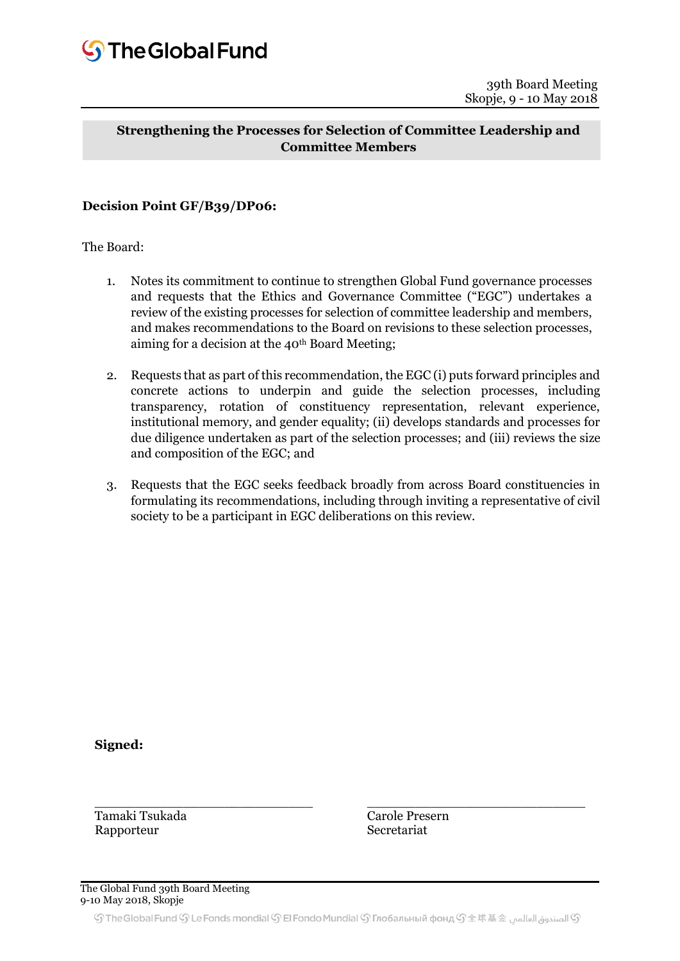# **Strengthening the Processes for Selection of Committee Leadership and Committee Members**

# **Decision Point GF/B39/DP06:**

The Board:

- 1. Notes its commitment to continue to strengthen Global Fund governance processes and requests that the Ethics and Governance Committee ("EGC") undertakes a review of the existing processes for selection of committee leadership and members, and makes recommendations to the Board on revisions to these selection processes, aiming for a decision at the  $40<sup>th</sup>$  Board Meeting;
- 2. Requests that as part of this recommendation, the EGC (i) puts forward principles and concrete actions to underpin and guide the selection processes, including transparency, rotation of constituency representation, relevant experience, institutional memory, and gender equality; (ii) develops standards and processes for due diligence undertaken as part of the selection processes; and (iii) reviews the size and composition of the EGC; and
- 3. Requests that the EGC seeks feedback broadly from across Board constituencies in formulating its recommendations, including through inviting a representative of civil society to be a participant in EGC deliberations on this review.

**Signed:**

Tamaki Tsukada Rapporteur

Carole Presern Secretariat

\_\_\_\_\_\_\_\_\_\_\_\_\_\_\_\_\_\_\_\_\_\_\_\_\_\_\_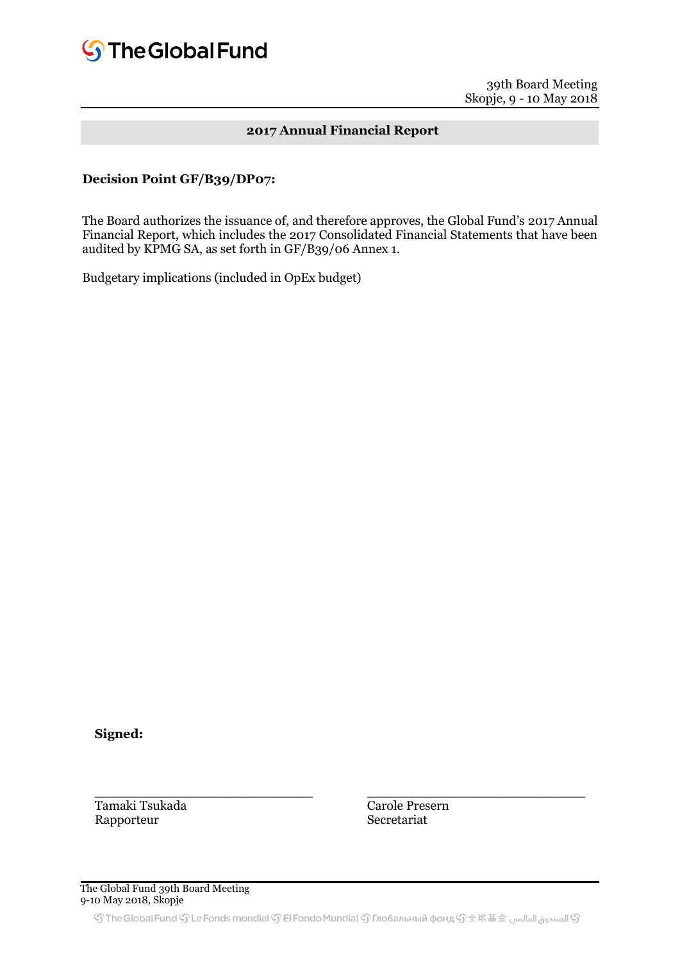# **2017 Annual Financial Report**

#### **Decision Point GF/B39/DP07:**

The Board authorizes the issuance of, and therefore approves, the Global Fund's 2017 Annual Financial Report, which includes the 2017 Consolidated Financial Statements that have been audited by KPMG SA, as set forth in GF/B39/06 Annex 1.

Budgetary implications (included in OpEx budget)

**Signed:**

Tamaki Tsukada Rapporteur

Carole Presern Secretariat

\_\_\_\_\_\_\_\_\_\_\_\_\_\_\_\_\_\_\_\_\_\_\_\_\_\_\_

#### The Global Fund 39th Board Meeting 9-10 May 2018, Skopje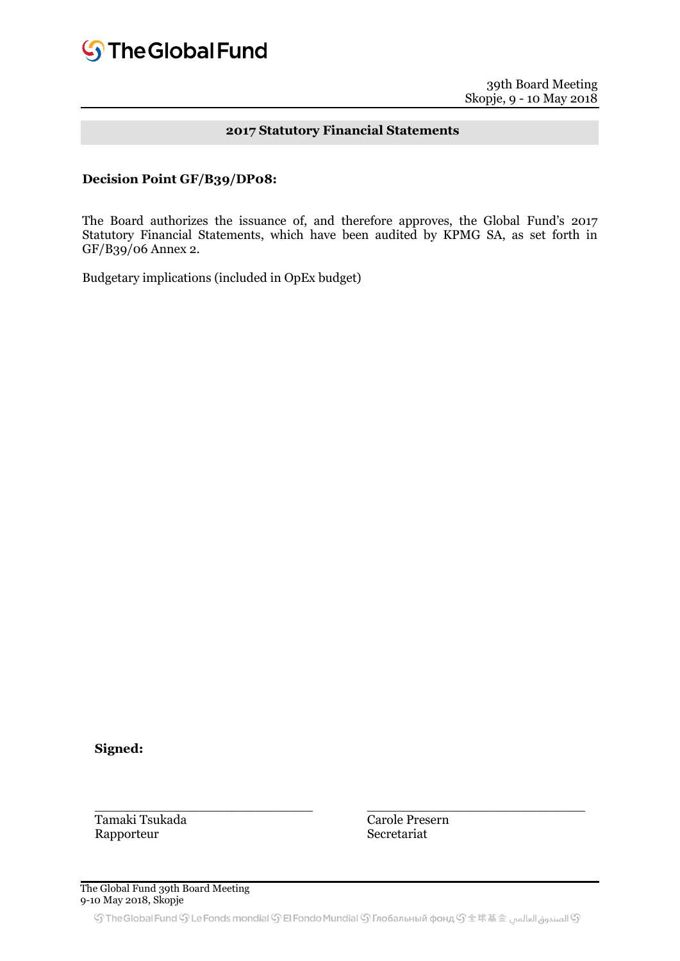## **2017 Statutory Financial Statements**

#### **Decision Point GF/B39/DP08:**

The Board authorizes the issuance of, and therefore approves, the Global Fund's 2017 Statutory Financial Statements, which have been audited by KPMG SA, as set forth in GF/B39/06 Annex 2.

Budgetary implications (included in OpEx budget)

**Signed:**

Tamaki Tsukada Rapporteur

Carole Presern Secretariat

\_\_\_\_\_\_\_\_\_\_\_\_\_\_\_\_\_\_\_\_\_\_\_\_\_\_\_

The Global Fund 39th Board Meeting 9-10 May 2018, Skopje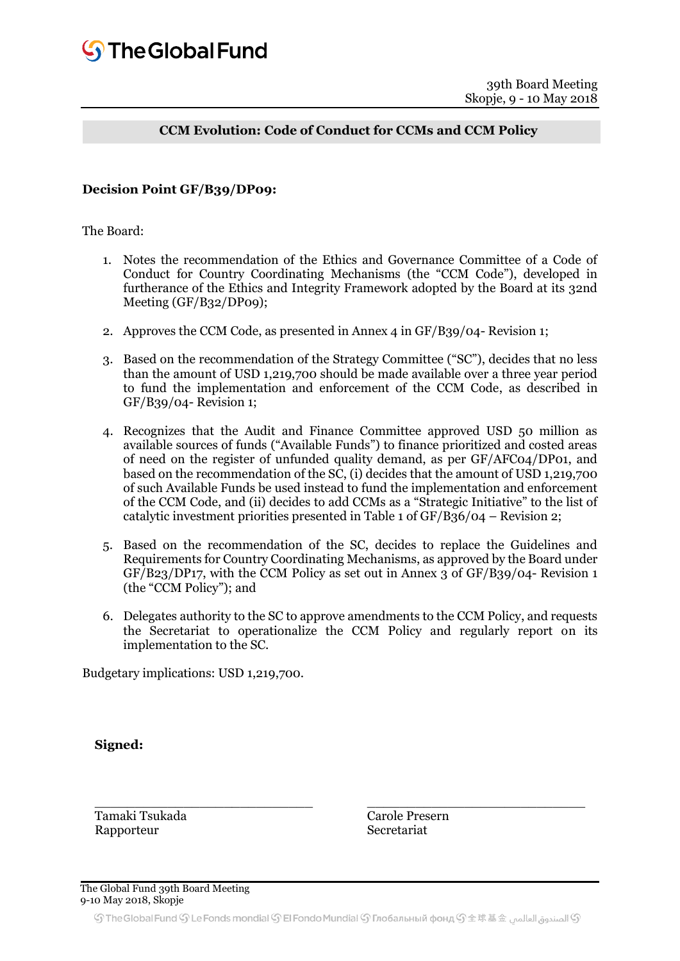# **CCM Evolution: Code of Conduct for CCMs and CCM Policy**

#### **Decision Point GF/B39/DP09:**

The Board:

- 1. Notes the recommendation of the Ethics and Governance Committee of a Code of Conduct for Country Coordinating Mechanisms (the "CCM Code"), developed in furtherance of the Ethics and Integrity Framework adopted by the Board at its 32nd Meeting (GF/B32/DP09);
- 2. Approves the CCM Code, as presented in Annex 4 in GF/B39/04- Revision 1;
- 3. Based on the recommendation of the Strategy Committee ("SC"), decides that no less than the amount of USD 1,219,700 should be made available over a three year period to fund the implementation and enforcement of the CCM Code, as described in GF/B39/04- Revision 1;
- 4. Recognizes that the Audit and Finance Committee approved USD 50 million as available sources of funds ("Available Funds") to finance prioritized and costed areas of need on the register of unfunded quality demand, as per GF/AFC04/DP01, and based on the recommendation of the SC, (i) decides that the amount of USD 1,219,700 of such Available Funds be used instead to fund the implementation and enforcement of the CCM Code, and (ii) decides to add CCMs as a "Strategic Initiative" to the list of catalytic investment priorities presented in Table 1 of GF/B36/04 – Revision 2;
- 5. Based on the recommendation of the SC, decides to replace the Guidelines and Requirements for Country Coordinating Mechanisms, as approved by the Board under GF/B23/DP17, with the CCM Policy as set out in Annex 3 of GF/B39/04- Revision 1 (the "CCM Policy"); and
- 6. Delegates authority to the SC to approve amendments to the CCM Policy, and requests the Secretariat to operationalize the CCM Policy and regularly report on its implementation to the SC.

Budgetary implications: USD 1,219,700.

\_\_\_\_\_\_\_\_\_\_\_\_\_\_\_\_\_\_\_\_\_\_\_\_\_\_\_

**Signed:**

Tamaki Tsukada Rapporteur

Carole Presern Secretariat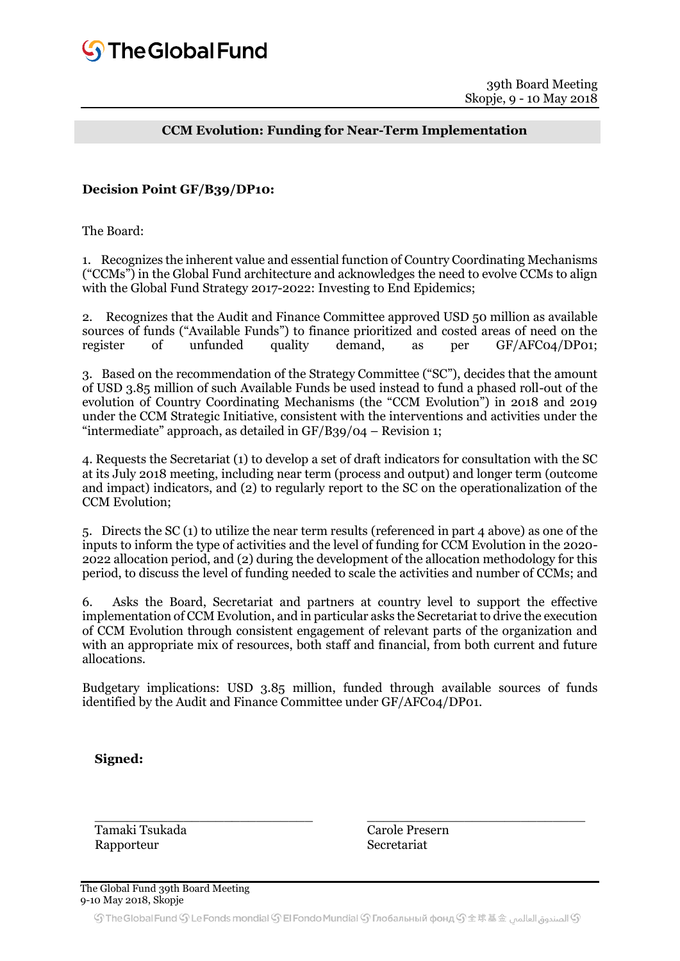# **CCM Evolution: Funding for Near-Term Implementation**

#### **Decision Point GF/B39/DP10:**

The Board:

1. Recognizes the inherent value and essential function of Country Coordinating Mechanisms ("CCMs") in the Global Fund architecture and acknowledges the need to evolve CCMs to align with the Global Fund Strategy 2017-2022: Investing to End Epidemics;

2. Recognizes that the Audit and Finance Committee approved USD 50 million as available sources of funds ("Available Funds") to finance prioritized and costed areas of need on the register of unfunded quality demand, as per GF/AFC04/DP01; 3. Based on the recommendation of the Strategy Committee ("SC"), decides that the amount of USD 3.85 million of such Available Funds be used instead to fund a phased roll-out of the evolution of Country Coordinating Mechanisms (the "CCM Evolution") in 2018 and 2019 under the CCM Strategic Initiative, consistent with the interventions and activities under the "intermediate" approach, as detailed in  $GF/B39/04$  – Revision 1;

4. Requests the Secretariat (1) to develop a set of draft indicators for consultation with the SC at its July 2018 meeting, including near term (process and output) and longer term (outcome and impact) indicators, and (2) to regularly report to the SC on the operationalization of the CCM Evolution;

5. Directs the SC (1) to utilize the near term results (referenced in part 4 above) as one of the inputs to inform the type of activities and the level of funding for CCM Evolution in the 2020- 2022 allocation period, and (2) during the development of the allocation methodology for this period, to discuss the level of funding needed to scale the activities and number of CCMs; and

6. Asks the Board, Secretariat and partners at country level to support the effective implementation of CCM Evolution, and in particular asks the Secretariat to drive the execution of CCM Evolution through consistent engagement of relevant parts of the organization and with an appropriate mix of resources, both staff and financial, from both current and future allocations.

Budgetary implications: USD 3.85 million, funded through available sources of funds identified by the Audit and Finance Committee under GF/AFC04/DP01.

**Signed:**

Tamaki Tsukada Rapporteur

Carole Presern Secretariat

 $\frac{1}{2}$  ,  $\frac{1}{2}$  ,  $\frac{1}{2}$  ,  $\frac{1}{2}$  ,  $\frac{1}{2}$  ,  $\frac{1}{2}$  ,  $\frac{1}{2}$  ,  $\frac{1}{2}$  ,  $\frac{1}{2}$  ,  $\frac{1}{2}$  ,  $\frac{1}{2}$  ,  $\frac{1}{2}$  ,  $\frac{1}{2}$  ,  $\frac{1}{2}$  ,  $\frac{1}{2}$  ,  $\frac{1}{2}$  ,  $\frac{1}{2}$  ,  $\frac{1}{2}$  ,  $\frac{1$ 

The Global Fund 39th Board Meeting 9-10 May 2018, Skopje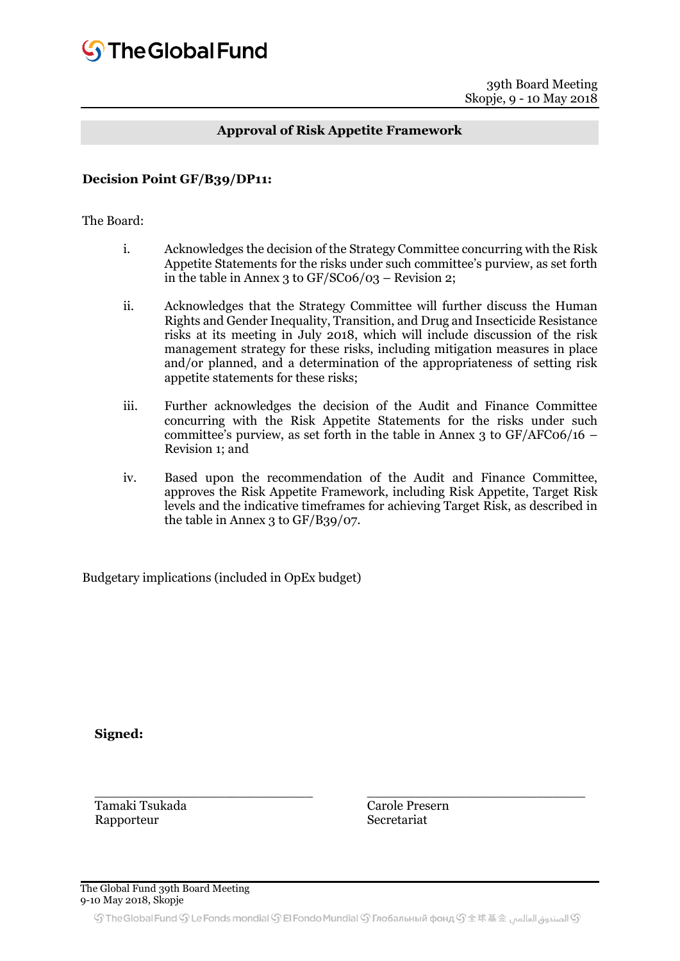### **Approval of Risk Appetite Framework**

#### **Decision Point GF/B39/DP11:**

#### The Board:

- i. Acknowledges the decision of the Strategy Committee concurring with the Risk Appetite Statements for the risks under such committee's purview, as set forth in the table in Annex 3 to  $GF/SCo6/03$  – Revision 2;
- ii. Acknowledges that the Strategy Committee will further discuss the Human Rights and Gender Inequality, Transition, and Drug and Insecticide Resistance risks at its meeting in July 2018, which will include discussion of the risk management strategy for these risks, including mitigation measures in place and/or planned, and a determination of the appropriateness of setting risk appetite statements for these risks;
- iii. Further acknowledges the decision of the Audit and Finance Committee concurring with the Risk Appetite Statements for the risks under such committee's purview, as set forth in the table in Annex 3 to  $GF/AFCO6/16$  – Revision 1; and
- iv. Based upon the recommendation of the Audit and Finance Committee, approves the Risk Appetite Framework, including Risk Appetite, Target Risk levels and the indicative timeframes for achieving Target Risk, as described in the table in Annex 3 to GF/B39/07.

Budgetary implications (included in OpEx budget)

**Signed:**

Tamaki Tsukada Rapporteur

Carole Presern Secretariat

\_\_\_\_\_\_\_\_\_\_\_\_\_\_\_\_\_\_\_\_\_\_\_\_\_\_\_